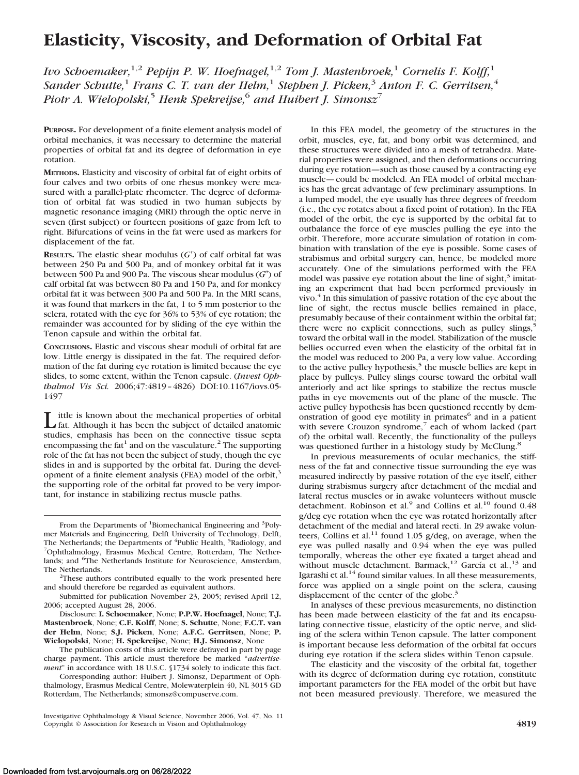# **Elasticity, Viscosity, and Deformation of Orbital Fat**

*Ivo Schoemaker,*1,2 *Pepijn P. W. Hoefnagel,*1,2 *Tom J. Mastenbroek,*<sup>1</sup> *Cornelis F. Kolff,*<sup>1</sup> *Sander Schutte,*<sup>1</sup> *Frans C. T. van der Helm,*<sup>1</sup> *Stephen J. Picken,*<sup>3</sup> *Anton F. C. Gerritsen,*<sup>4</sup> *Piotr A. Wielopolski,*<sup>5</sup> *Henk Spekreijse,*<sup>6</sup> *and Huibert J. Simonsz*<sup>7</sup>

**PURPOSE.** For development of a finite element analysis model of orbital mechanics, it was necessary to determine the material properties of orbital fat and its degree of deformation in eye rotation.

**METHODS.** Elasticity and viscosity of orbital fat of eight orbits of four calves and two orbits of one rhesus monkey were measured with a parallel-plate rheometer. The degree of deformation of orbital fat was studied in two human subjects by magnetic resonance imaging (MRI) through the optic nerve in seven (first subject) or fourteen positions of gaze from left to right. Bifurcations of veins in the fat were used as markers for displacement of the fat.

**RESULTS.** The elastic shear modulus  $(G')$  of calf orbital fat was between 250 Pa and 500 Pa, and of monkey orbital fat it was between 500 Pa and 900 Pa. The viscous shear modulus (G'') of calf orbital fat was between 80 Pa and 150 Pa, and for monkey orbital fat it was between 300 Pa and 500 Pa. In the MRI scans, it was found that markers in the fat, 1 to 5 mm posterior to the sclera, rotated with the eye for 36% to 53% of eye rotation; the remainder was accounted for by sliding of the eye within the Tenon capsule and within the orbital fat.

**CONCLUSIONS.** Elastic and viscous shear moduli of orbital fat are low. Little energy is dissipated in the fat. The required deformation of the fat during eye rotation is limited because the eye slides, to some extent, within the Tenon capsule. (*Invest Ophthalmol Vis Sci.* 2006;47:4819 – 4826) DOI:10.1167/iovs.05- 1497

Little is known about the mechanical properties of orbital<br>fat. Although it has been the subject of detailed anatomic studies, emphasis has been on the connective tissue septa encompassing the fat<sup>1</sup> and on the vasculature.<sup>2</sup> The supporting role of the fat has not been the subject of study, though the eye slides in and is supported by the orbital fat. During the development of a finite element analysis (FEA) model of the orbit, $3$ the supporting role of the orbital fat proved to be very important, for instance in stabilizing rectus muscle paths.

From the Departments of <sup>1</sup>Biomechanical Engineering and <sup>3</sup>Polymer Materials and Engineering, Delft University of Technology, Delft, The Netherlands; the Departments of <sup>4</sup>Public Health, <sup>5</sup>Radiology, and <sup>7</sup>Ophthalmology, Erasmus Medical Centre, Botterdam, The Nether <sup>7</sup>Ophthalmology, Erasmus Medical Centre, Rotterdam, The Netherlands; and <sup>6</sup>The Netherlands Institute for Neuroscience, Amsterdam, The Netherlands. <sup>2</sup>

<sup>2</sup>These authors contributed equally to the work presented here and should therefore be regarded as equivalent authors.

Submitted for publication November 23, 2005; revised April 12, 2006; accepted August 28, 2006.

Disclosure: **I. Schoemaker**, None; **P.P.W. Hoefnagel**, None; **T.J. Mastenbroek**, None; **C.F. Kolff**, None; **S. Schutte**, None; **F.C.T. van der Helm**, None; **S.J. Picken**, None; **A.F.C. Gerritsen**, None; **P. Wielopolski**, None; **H. Spekreijse**, None; **H.J. Simonsz**, None

The publication costs of this article were defrayed in part by page charge payment. This article must therefore be marked "*advertisement*" in accordance with 18 U.S.C. §1734 solely to indicate this fact.

Corresponding author: Huibert J. Simonsz, Department of Ophthalmology, Erasmus Medical Centre, Molewaterplein 40, NL 3015 GD Rotterdam, The Netherlands; simonsz@compuserve.com.

Investigative Ophthalmology & Visual Science, November 2006, Vol. 47, No. 11 Copyright © Association for Research in Vision and Ophthalmology **4819**

In this FEA model, the geometry of the structures in the orbit, muscles, eye, fat, and bony orbit was determined, and these structures were divided into a mesh of tetrahedra. Material properties were assigned, and then deformations occurring during eye rotation—such as those caused by a contracting eye muscle—could be modeled. An FEA model of orbital mechanics has the great advantage of few preliminary assumptions. In a lumped model, the eye usually has three degrees of freedom (i.e., the eye rotates about a fixed point of rotation). In the FEA model of the orbit, the eye is supported by the orbital fat to outbalance the force of eye muscles pulling the eye into the orbit. Therefore, more accurate simulation of rotation in combination with translation of the eye is possible. Some cases of strabismus and orbital surgery can, hence, be modeled more accurately. One of the simulations performed with the FEA model was passive eye rotation about the line of sight, $3$  imitating an experiment that had been performed previously in vivo.<sup>4</sup> In this simulation of passive rotation of the eye about the line of sight, the rectus muscle bellies remained in place, presumably because of their containment within the orbital fat; there were no explicit connections, such as pulley slings,<sup>5</sup> toward the orbital wall in the model. Stabilization of the muscle bellies occurred even when the elasticity of the orbital fat in the model was reduced to 200 Pa, a very low value. According to the active pulley hypothesis, $5$  the muscle bellies are kept in place by pulleys. Pulley slings course toward the orbital wall anteriorly and act like springs to stabilize the rectus muscle paths in eye movements out of the plane of the muscle. The active pulley hypothesis has been questioned recently by demonstration of good eye motility in primates<sup>6</sup> and in a patient with severe Crouzon syndrome, $\bar{7}$  each of whom lacked (part of) the orbital wall. Recently, the functionality of the pulleys was questioned further in a histology study by McClung.<sup>8</sup>

In previous measurements of ocular mechanics, the stiffness of the fat and connective tissue surrounding the eye was measured indirectly by passive rotation of the eye itself, either during strabismus surgery after detachment of the medial and lateral rectus muscles or in awake volunteers without muscle detachment. Robinson et al.<sup>9</sup> and Collins et al.<sup>10</sup> found 0.48 g/deg eye rotation when the eye was rotated horizontally after detachment of the medial and lateral recti. In 29 awake volunteers, Collins et al. $11$  found 1.05 g/deg, on average, when the eye was pulled nasally and 0.94 when the eye was pulled temporally, whereas the other eye fixated a target ahead and without muscle detachment. Barmack,<sup>12</sup> García et al.,<sup>13</sup> and Igarashi et al. $^{14}$  found similar values. In all these measurements, force was applied on a single point on the sclera, causing displacement of the center of the globe.<sup>3</sup>

In analyses of these previous measurements, no distinction has been made between elasticity of the fat and its encapsulating connective tissue, elasticity of the optic nerve, and sliding of the sclera within Tenon capsule. The latter component is important because less deformation of the orbital fat occurs during eye rotation if the sclera slides within Tenon capsule.

The elasticity and the viscosity of the orbital fat, together with its degree of deformation during eye rotation, constitute important parameters for the FEA model of the orbit but have not been measured previously. Therefore, we measured the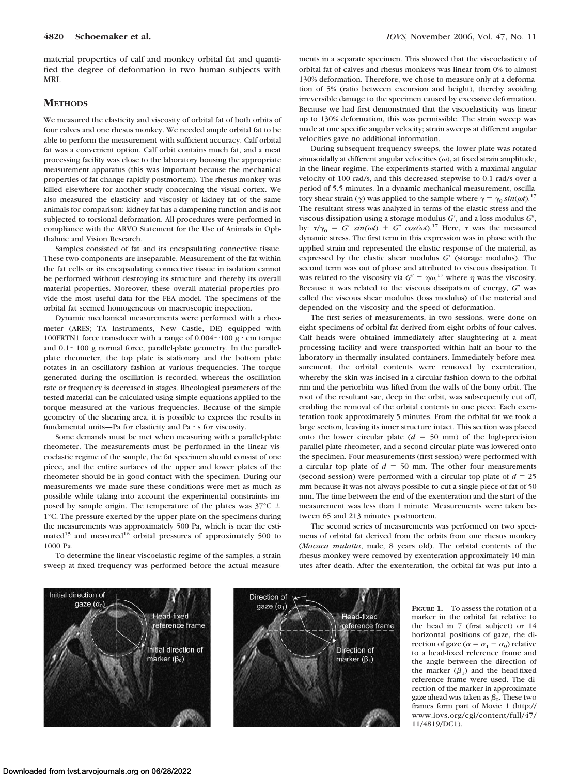material properties of calf and monkey orbital fat and quantified the degree of deformation in two human subjects with MRI.

# **METHODS**

We measured the elasticity and viscosity of orbital fat of both orbits of four calves and one rhesus monkey. We needed ample orbital fat to be able to perform the measurement with sufficient accuracy. Calf orbital fat was a convenient option. Calf orbit contains much fat, and a meat processing facility was close to the laboratory housing the appropriate measurement apparatus (this was important because the mechanical properties of fat change rapidly postmortem). The rhesus monkey was killed elsewhere for another study concerning the visual cortex. We also measured the elasticity and viscosity of kidney fat of the same animals for comparison: kidney fat has a dampening function and is not subjected to torsional deformation. All procedures were performed in compliance with the ARVO Statement for the Use of Animals in Ophthalmic and Vision Research.

Samples consisted of fat and its encapsulating connective tissue. These two components are inseparable. Measurement of the fat within the fat cells or its encapsulating connective tissue in isolation cannot be performed without destroying its structure and thereby its overall material properties. Moreover, these overall material properties provide the most useful data for the FEA model. The specimens of the orbital fat seemed homogeneous on macroscopic inspection.

Dynamic mechanical measurements were performed with a rheometer (ARES; TA Instruments, New Castle, DE) equipped with 100FRTN1 force transducer with a range of  $0.004 \sim 100$  g  $\cdot$  cm torque and  $0.1 \sim 100$  g normal force, parallel-plate geometry. In the parallelplate rheometer, the top plate is stationary and the bottom plate rotates in an oscillatory fashion at various frequencies. The torque generated during the oscillation is recorded, whereas the oscillation rate or frequency is decreased in stages. Rheological parameters of the tested material can be calculated using simple equations applied to the torque measured at the various frequencies. Because of the simple geometry of the shearing area, it is possible to express the results in fundamental units—Pa for elasticity and Pa $\cdot$  s for viscosity.

Some demands must be met when measuring with a parallel-plate rheometer. The measurements must be performed in the linear viscoelastic regime of the sample, the fat specimen should consist of one piece, and the entire surfaces of the upper and lower plates of the rheometer should be in good contact with the specimen. During our measurements we made sure these conditions were met as much as possible while taking into account the experimental constraints imposed by sample origin. The temperature of the plates was  $37^{\circ}$ C  $\pm$ 1°C. The pressure exerted by the upper plate on the specimens during the measurements was approximately 500 Pa, which is near the estimated<sup>15</sup> and measured<sup>16</sup> orbital pressures of approximately 500 to 1000 Pa.

To determine the linear viscoelastic regime of the samples, a strain sweep at fixed frequency was performed before the actual measurements in a separate specimen. This showed that the viscoelasticity of orbital fat of calves and rhesus monkeys was linear from 0% to almost 130% deformation. Therefore, we chose to measure only at a deformation of 5% (ratio between excursion and height), thereby avoiding irreversible damage to the specimen caused by excessive deformation. Because we had first demonstrated that the viscoelasticity was linear up to 130% deformation, this was permissible. The strain sweep was made at one specific angular velocity; strain sweeps at different angular velocities gave no additional information.

During subsequent frequency sweeps, the lower plate was rotated sinusoidally at different angular velocities  $(\omega)$ , at fixed strain amplitude, in the linear regime. The experiments started with a maximal angular velocity of 100 rad/s, and this decreased stepwise to 0.1 rad/s over a period of 5.5 minutes. In a dynamic mechanical measurement, oscillatory shear strain ( $\gamma$ ) was applied to the sample where  $\gamma = \gamma_0 \sin(\omega t)$ .<sup>17</sup> The resultant stress was analyzed in terms of the elastic stress and the viscous dissipation using a storage modulus  $G'$ , and a loss modulus  $G''$ , by:  $\tau/\gamma_0 = G' \sin(\omega t) + G'' \cos(\omega t)$ .<sup>17</sup> Here,  $\tau$  was the measured dynamic stress. The first term in this expression was in phase with the applied strain and represented the elastic response of the material, as expressed by the elastic shear modulus  $G'$  (storage modulus). The second term was out of phase and attributed to viscous dissipation. It was related to the viscosity via  $G'' = \eta \omega$ ,<sup>17</sup> where  $\eta$  was the viscosity. Because it was related to the viscous dissipation of energy, G'' was called the viscous shear modulus (loss modulus) of the material and depended on the viscosity and the speed of deformation.

The first series of measurements, in two sessions, were done on eight specimens of orbital fat derived from eight orbits of four calves. Calf heads were obtained immediately after slaughtering at a meat processing facility and were transported within half an hour to the laboratory in thermally insulated containers. Immediately before measurement, the orbital contents were removed by exenteration, whereby the skin was incised in a circular fashion down to the orbital rim and the periorbita was lifted from the walls of the bony orbit. The root of the resultant sac, deep in the orbit, was subsequently cut off, enabling the removal of the orbital contents in one piece. Each exenteration took approximately 5 minutes. From the orbital fat we took a large section, leaving its inner structure intact. This section was placed onto the lower circular plate  $(d = 50$  mm) of the high-precision parallel-plate rheometer, and a second circular plate was lowered onto the specimen. Four measurements (first session) were performed with a circular top plate of  $d = 50$  mm. The other four measurements (second session) were performed with a circular top plate of  $d = 25$ mm because it was not always possible to cut a single piece of fat of 50 mm. The time between the end of the exenteration and the start of the measurement was less than 1 minute. Measurements were taken between 65 and 213 minutes postmortem.

The second series of measurements was performed on two specimens of orbital fat derived from the orbits from one rhesus monkey (*Macaca mulatta*, male, 8 years old). The orbital contents of the rhesus monkey were removed by exenteration approximately 10 minutes after death. After the exenteration, the orbital fat was put into a



**FIGURE 1.** To assess the rotation of a marker in the orbital fat relative to the head in 7 (first subject) or 14 horizontal positions of gaze, the direction of gaze ( $\alpha = \alpha_1 - \alpha_0$ ) relative to a head-fixed reference frame and the angle between the direction of the marker  $(\beta_1)$  and the head-fixed reference frame were used. The direction of the marker in approximate gaze ahead was taken as  $\beta_0$ . These two frames form part of Movie 1 (http:// www.iovs.org/cgi/content/full/47/ 11/4819/DC1).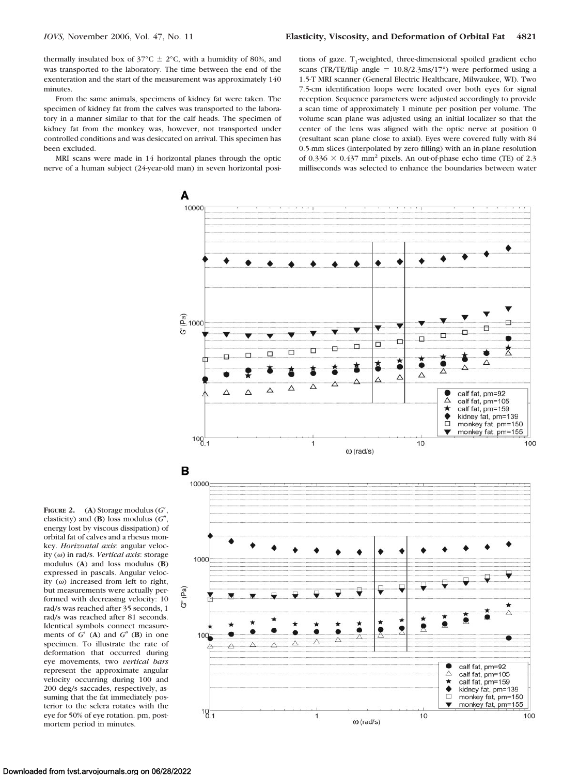thermally insulated box of  $37^{\circ}$ C  $\pm$  2°C, with a humidity of 80%, and was transported to the laboratory. The time between the end of the exenteration and the start of the measurement was approximately 140 minutes.

From the same animals, specimens of kidney fat were taken. The specimen of kidney fat from the calves was transported to the laboratory in a manner similar to that for the calf heads. The specimen of kidney fat from the monkey was, however, not transported under controlled conditions and was desiccated on arrival. This specimen has been excluded.

MRI scans were made in 14 horizontal planes through the optic nerve of a human subject (24-year-old man) in seven horizontal posi-

tions of gaze.  $T_1$ -weighted, three-dimensional spoiled gradient echo scans (TR/TE/flip angle =  $10.8/2.3$ ms/17°) were performed using a 1.5-T MRI scanner (General Electric Healthcare, Milwaukee, WI). Two 7.5-cm identification loops were located over both eyes for signal reception. Sequence parameters were adjusted accordingly to provide a scan time of approximately 1 minute per position per volume. The volume scan plane was adjusted using an initial localizer so that the center of the lens was aligned with the optic nerve at position 0 (resultant scan plane close to axial). Eyes were covered fully with 84 0.5-mm slices (interpolated by zero filling) with an in-plane resolution of 0.336  $\times$  0.437 mm<sup>2</sup> pixels. An out-of-phase echo time (TE) of 2.3 milliseconds was selected to enhance the boundaries between water



**FIGURE 2.** (**A**) Storage modulus (*G*, elasticity) and  $(B)$  loss modulus  $(G'')$ , energy lost by viscous dissipation) of orbital fat of calves and a rhesus monkey. *Horizontal axis*: angular velocity (ω) in rad/s. *Vertical axis*: storage modulus (**A**) and loss modulus (**B**) expressed in pascals. Angular velocity  $(\omega)$  increased from left to right. but measurements were actually performed with decreasing velocity: 10 rad/s was reached after 35 seconds, 1 rad/s was reached after 81 seconds. Identical symbols connect measurements of  $G'$  (A) and  $G''$  (B) in one specimen. To illustrate the rate of deformation that occurred during eye movements, two *vertical bars* represent the approximate angular velocity occurring during 100 and 200 deg/s saccades, respectively, assuming that the fat immediately posterior to the sclera rotates with the eye for 50% of eye rotation. pm, postmortem period in minutes.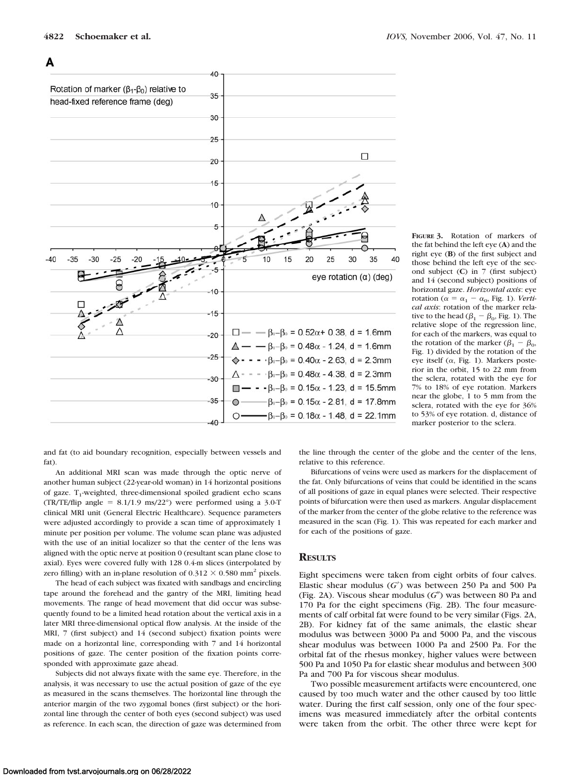

**FIGURE 3.** Rotation of markers of the fat behind the left eye (**A**) and the right eye (**B**) of the first subject and those behind the left eye of the second subject (**C**) in 7 (first subject) and 14 (second subject) positions of horizontal gaze. *Horizontal axis*: eye rotation ( $\alpha = \alpha_1 - \alpha_0$ , Fig. 1). *Vertical axis*: rotation of the marker relative to the head ( $\beta_1 - \beta_0$ , Fig. 1). The relative slope of the regression line, for each of the markers, was equal to the rotation of the marker ( $\beta_1 - \beta_0$ , Fig. 1) divided by the rotation of the eye itself  $(\alpha,$  Fig. 1). Markers posterior in the orbit, 15 to 22 mm from the sclera, rotated with the eye for 7% to 18% of eye rotation. Markers near the globe, 1 to 5 mm from the sclera, rotated with the eye for 36% to 53% of eye rotation. d, distance of marker posterior to the sclera.

and fat (to aid boundary recognition, especially between vessels and fat).

An additional MRI scan was made through the optic nerve of another human subject (22-year-old woman) in 14 horizontal positions of gaze. T<sub>1</sub>-weighted, three-dimensional spoiled gradient echo scans (TR/TE/flip angle =  $8.1/1.9$  ms/22°) were performed using a 3.0-T clinical MRI unit (General Electric Healthcare). Sequence parameters were adjusted accordingly to provide a scan time of approximately 1 minute per position per volume. The volume scan plane was adjusted with the use of an initial localizer so that the center of the lens was aligned with the optic nerve at position 0 (resultant scan plane close to axial). Eyes were covered fully with 128 0.4-m slices (interpolated by zero filling) with an in-plane resolution of  $0.312 \times 0.580$  mm<sup>2</sup> pixels.

The head of each subject was fixated with sandbags and encircling tape around the forehead and the gantry of the MRI, limiting head movements. The range of head movement that did occur was subsequently found to be a limited head rotation about the vertical axis in a later MRI three-dimensional optical flow analysis. At the inside of the MRI, 7 (first subject) and 14 (second subject) fixation points were made on a horizontal line, corresponding with 7 and 14 horizontal positions of gaze. The center position of the fixation points corresponded with approximate gaze ahead.

Subjects did not always fixate with the same eye. Therefore, in the analysis, it was necessary to use the actual position of gaze of the eye as measured in the scans themselves. The horizontal line through the anterior margin of the two zygomal bones (first subject) or the horizontal line through the center of both eyes (second subject) was used as reference. In each scan, the direction of gaze was determined from the line through the center of the globe and the center of the lens, relative to this reference.

Bifurcations of veins were used as markers for the displacement of the fat. Only bifurcations of veins that could be identified in the scans of all positions of gaze in equal planes were selected. Their respective points of bifurcation were then used as markers. Angular displacement of the marker from the center of the globe relative to the reference was measured in the scan (Fig. 1). This was repeated for each marker and for each of the positions of gaze.

## **RESULTS**

Eight specimens were taken from eight orbits of four calves. Elastic shear modulus  $(G')$  was between 250 Pa and 500 Pa (Fig. 2A). Viscous shear modulus (G") was between 80 Pa and 170 Pa for the eight specimens (Fig. 2B). The four measurements of calf orbital fat were found to be very similar (Figs. 2A, 2B). For kidney fat of the same animals, the elastic shear modulus was between 3000 Pa and 5000 Pa, and the viscous shear modulus was between 1000 Pa and 2500 Pa. For the orbital fat of the rhesus monkey, higher values were between 500 Pa and 1050 Pa for elastic shear modulus and between 300 Pa and 700 Pa for viscous shear modulus.

Two possible measurement artifacts were encountered, one caused by too much water and the other caused by too little water. During the first calf session, only one of the four specimens was measured immediately after the orbital contents were taken from the orbit. The other three were kept for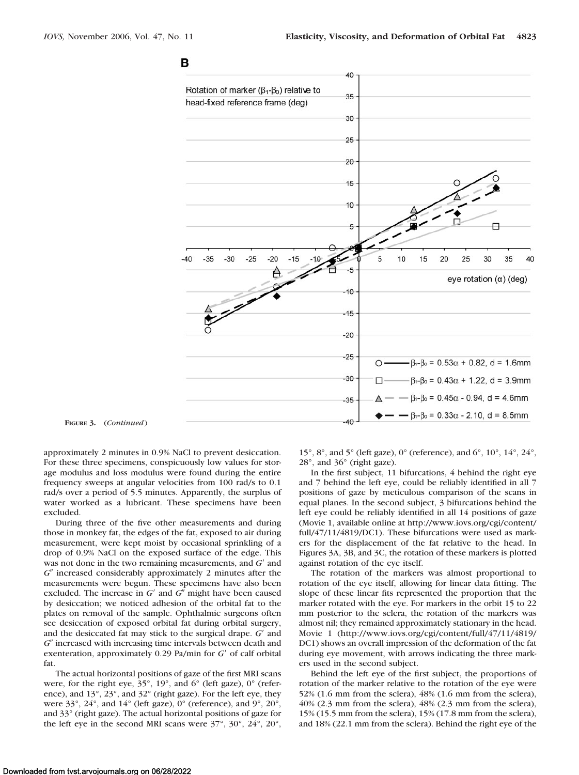

в



approximately 2 minutes in 0.9% NaCl to prevent desiccation. For these three specimens, conspicuously low values for storage modulus and loss modulus were found during the entire frequency sweeps at angular velocities from 100 rad/s to 0.1 rad/s over a period of 5.5 minutes. Apparently, the surplus of water worked as a lubricant. These specimens have been excluded.

During three of the five other measurements and during those in monkey fat, the edges of the fat, exposed to air during measurement, were kept moist by occasional sprinkling of a drop of 0.9% NaCl on the exposed surface of the edge. This was not done in the two remaining measurements, and *G'* and G" increased considerably approximately 2 minutes after the measurements were begun. These specimens have also been excluded. The increase in  $G'$  and  $G''$  might have been caused by desiccation; we noticed adhesion of the orbital fat to the plates on removal of the sample. Ophthalmic surgeons often see desiccation of exposed orbital fat during orbital surgery, and the desiccated fat may stick to the surgical drape. *G'* and  $G$ <sup>"</sup> increased with increasing time intervals between death and exenteration, approximately 0.29 Pa/min for *G'* of calf orbital fat.

The actual horizontal positions of gaze of the first MRI scans were, for the right eye, 35°, 19°, and 6° (left gaze), 0° (reference), and 13°, 23°, and 32° (right gaze). For the left eye, they were 33°, 24°, and 14° (left gaze), 0° (reference), and 9°, 20°, and 33° (right gaze). The actual horizontal positions of gaze for the left eye in the second MRI scans were 37°, 30°, 24°, 20°, 15°, 8°, and 5° (left gaze), 0° (reference), and 6°, 10°, 14°, 24°, 28°, and 36° (right gaze).

In the first subject, 11 bifurcations, 4 behind the right eye and 7 behind the left eye, could be reliably identified in all 7 positions of gaze by meticulous comparison of the scans in equal planes. In the second subject, 3 bifurcations behind the left eye could be reliably identified in all 14 positions of gaze (Movie 1, available online at http://www.iovs.org/cgi/content/ full/47/11/4819/DC1). These bifurcations were used as markers for the displacement of the fat relative to the head. In Figures 3A, 3B, and 3C, the rotation of these markers is plotted against rotation of the eye itself.

The rotation of the markers was almost proportional to rotation of the eye itself, allowing for linear data fitting. The slope of these linear fits represented the proportion that the marker rotated with the eye. For markers in the orbit 15 to 22 mm posterior to the sclera, the rotation of the markers was almost nil; they remained approximately stationary in the head. Movie 1 (http://www.iovs.org/cgi/content/full/47/11/4819/ DC1) shows an overall impression of the deformation of the fat during eye movement, with arrows indicating the three markers used in the second subject.

Behind the left eye of the first subject, the proportions of rotation of the marker relative to the rotation of the eye were 52% (1.6 mm from the sclera), 48% (1.6 mm from the sclera), 40% (2.3 mm from the sclera), 48% (2.3 mm from the sclera), 15% (15.5 mm from the sclera), 15% (17.8 mm from the sclera), and 18% (22.1 mm from the sclera). Behind the right eye of the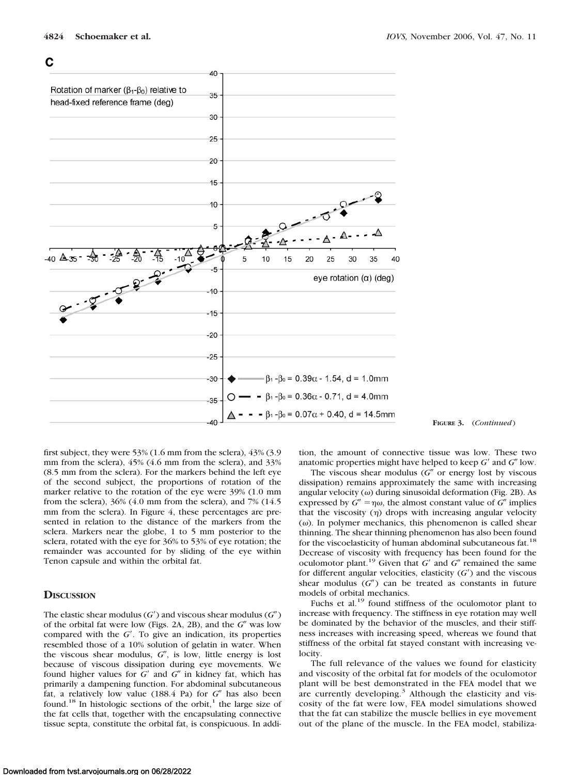

**FIGURE 3.** (*Continued*)

first subject, they were 53% (1.6 mm from the sclera), 43% (3.9 mm from the sclera), 45% (4.6 mm from the sclera), and 33% (8.5 mm from the sclera). For the markers behind the left eye of the second subject, the proportions of rotation of the marker relative to the rotation of the eye were 39% (1.0 mm from the sclera), 36% (4.0 mm from the sclera), and 7% (14.5 mm from the sclera). In Figure 4, these percentages are presented in relation to the distance of the markers from the sclera. Markers near the globe, 1 to 5 mm posterior to the sclera, rotated with the eye for 36% to 53% of eye rotation; the remainder was accounted for by sliding of the eye within Tenon capsule and within the orbital fat.

# **DISCUSSION**

The elastic shear modulus  $(G')$  and viscous shear modulus  $(G'')$ of the orbital fat were low (Figs. 2A, 2B), and the G" was low compared with the *G'*. To give an indication, its properties resembled those of a 10% solution of gelatin in water. When the viscous shear modulus,  $G''$ , is low, little energy is lost because of viscous dissipation during eye movements. We found higher values for  $G'$  and  $G''$  in kidney fat, which has primarily a dampening function. For abdominal subcutaneous fat, a relatively low value (188.4 Pa) for G'' has also been found.<sup>18</sup> In histologic sections of the orbit,<sup>1</sup> the large size of the fat cells that, together with the encapsulating connective tissue septa, constitute the orbital fat, is conspicuous. In addition, the amount of connective tissue was low. These two anatomic properties might have helped to keep  $G'$  and  $G''$  low.

The viscous shear modulus  $(G'')$  or energy lost by viscous dissipation) remains approximately the same with increasing angular velocity  $(\omega)$  during sinusoidal deformation (Fig. 2B). As expressed by  $G'' = \eta \omega$ , the almost constant value of  $G''$  implies that the viscosity  $(\eta)$  drops with increasing angular velocity  $(\omega)$ . In polymer mechanics, this phenomenon is called shear thinning. The shear thinning phenomenon has also been found for the viscoelasticity of human abdominal subcutaneous fat.<sup>18</sup> Decrease of viscosity with frequency has been found for the oculomotor plant.<sup>19</sup> Given that  $G'$  and  $G''$  remained the same for different angular velocities, elasticity  $(G')$  and the viscous shear modulus  $(G'')$  can be treated as constants in future models of orbital mechanics.

Fuchs et al.19 found stiffness of the oculomotor plant to increase with frequency. The stiffness in eye rotation may well be dominated by the behavior of the muscles, and their stiffness increases with increasing speed, whereas we found that stiffness of the orbital fat stayed constant with increasing velocity.

The full relevance of the values we found for elasticity and viscosity of the orbital fat for models of the oculomotor plant will be best demonstrated in the FEA model that we are currently developing.<sup>3</sup> Although the elasticity and viscosity of the fat were low, FEA model simulations showed that the fat can stabilize the muscle bellies in eye movement out of the plane of the muscle. In the FEA model, stabiliza-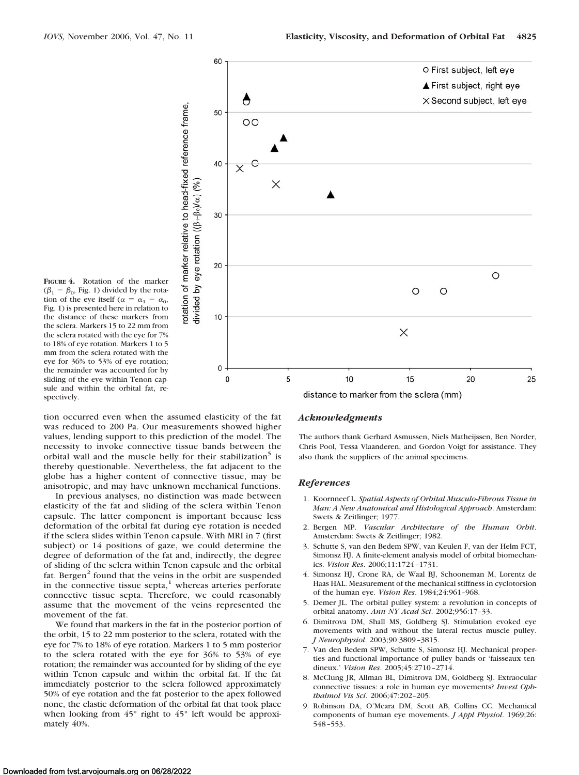

**FIGURE 4.** Rotation of the marker  $(\beta_1 - \beta_0,$  Fig. 1) divided by the rotation of the eye itself ( $\alpha = \alpha_1 - \alpha_0$ , Fig. 1) is presented here in relation to the distance of these markers from the sclera. Markers 15 to 22 mm from the sclera rotated with the eye for 7% to 18% of eye rotation. Markers 1 to 5 mm from the sclera rotated with the eye for 36% to 53% of eye rotation; the remainder was accounted for by sliding of the eye within Tenon capsule and within the orbital fat, respectively.

tion occurred even when the assumed elasticity of the fat was reduced to 200 Pa. Our measurements showed higher values, lending support to this prediction of the model. The necessity to invoke connective tissue bands between the orbital wall and the muscle belly for their stabilization<sup>5</sup> is thereby questionable. Nevertheless, the fat adjacent to the globe has a higher content of connective tissue, may be anisotropic, and may have unknown mechanical functions.

In previous analyses, no distinction was made between elasticity of the fat and sliding of the sclera within Tenon capsule. The latter component is important because less deformation of the orbital fat during eye rotation is needed if the sclera slides within Tenon capsule. With MRI in 7 (first subject) or 14 positions of gaze, we could determine the degree of deformation of the fat and, indirectly, the degree of sliding of the sclera within Tenon capsule and the orbital fat. Bergen<sup>2</sup> found that the veins in the orbit are suspended in the connective tissue septa, $<sup>1</sup>$  whereas arteries perforate</sup> connective tissue septa. Therefore, we could reasonably assume that the movement of the veins represented the movement of the fat.

We found that markers in the fat in the posterior portion of the orbit, 15 to 22 mm posterior to the sclera, rotated with the eye for 7% to 18% of eye rotation. Markers 1 to 5 mm posterior to the sclera rotated with the eye for 36% to 53% of eye rotation; the remainder was accounted for by sliding of the eye within Tenon capsule and within the orbital fat. If the fat immediately posterior to the sclera followed approximately 50% of eye rotation and the fat posterior to the apex followed none, the elastic deformation of the orbital fat that took place when looking from 45° right to 45° left would be approximately 40%.

## *Acknowledgments*

The authors thank Gerhard Asmussen, Niels Matheijssen, Ben Norder, Chris Pool, Tessa Vlaanderen, and Gordon Voigt for assistance. They also thank the suppliers of the animal specimens.

#### *References*

- 1. Koornneef L. *Spatial Aspects of Orbital Musculo-Fibrous Tissue in Man: A New Anatomical and Histological Approach*. Amsterdam: Swets & Zeitlinger; 1977.
- 2. Bergen MP. *Vascular Architecture of the Human Orbit*. Amsterdam: Swets & Zeitlinger; 1982.
- 3. Schutte S, van den Bedem SPW, van Keulen F, van der Helm FCT, Simonsz HJ. A finite-element analysis model of orbital biomechanics. *Vision Res*. 2006;11:1724 –1731.
- 4. Simonsz HJ, Crone RA, de Waal BJ, Schooneman M, Lorentz de Haas HAL. Measurement of the mechanical stiffness in cyclotorsion of the human eye. *Vision Res*. 1984;24:961–968.
- 5. Demer JL. The orbital pulley system: a revolution in concepts of orbital anatomy. *Ann NY Acad Sci*. 2002;956:17–33.
- 6. Dimitrova DM, Shall MS, Goldberg SJ. Stimulation evoked eye movements with and without the lateral rectus muscle pulley. *J Neurophysiol*. 2003;90:3809 –3815.
- 7. Van den Bedem SPW, Schutte S, Simonsz HJ. Mechanical properties and functional importance of pulley bands or 'faisseaux tendineux.' *Vision Res*. 2005;45:2710 –2714.
- 8. McClung JR, Allman BL, Dimitrova DM, Goldberg SJ. Extraocular connective tissues: a role in human eye movements? *Invest Ophthalmol Vis Sci*. 2006;47:202–205.
- 9. Robinson DA, O'Meara DM, Scott AB, Collins CC. Mechanical components of human eye movements. *J Appl Physiol*. 1969;26: 548 –553.